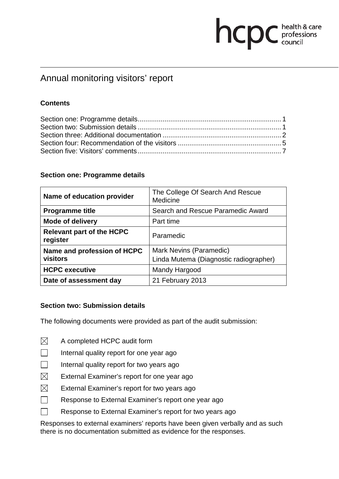# **health & care**

# Annual monitoring visitors' report

# **Contents**

#### **Section one: Programme details**

| Name of education provider                   | The College Of Search And Rescue<br>Medicine |
|----------------------------------------------|----------------------------------------------|
| <b>Programme title</b>                       | Search and Rescue Paramedic Award            |
| <b>Mode of delivery</b>                      | Part time                                    |
| <b>Relevant part of the HCPC</b><br>register | Paramedic                                    |
| Name and profession of HCPC                  | Mark Nevins (Paramedic)                      |
| visitors                                     | Linda Mutema (Diagnostic radiographer)       |
| <b>HCPC executive</b>                        | Mandy Hargood                                |
| Date of assessment day                       | 21 February 2013                             |

# **Section two: Submission details**

The following documents were provided as part of the audit submission:

- $\boxtimes$ A completed HCPC audit form
- $\Box$ Internal quality report for one year ago
- $\Box$ Internal quality report for two years ago
- $\boxtimes$ External Examiner's report for one year ago
- $\boxtimes$ External Examiner's report for two years ago
- $\Box$ Response to External Examiner's report one year ago
- $\Box$ Response to External Examiner's report for two years ago

Responses to external examiners' reports have been given verbally and as such there is no documentation submitted as evidence for the responses.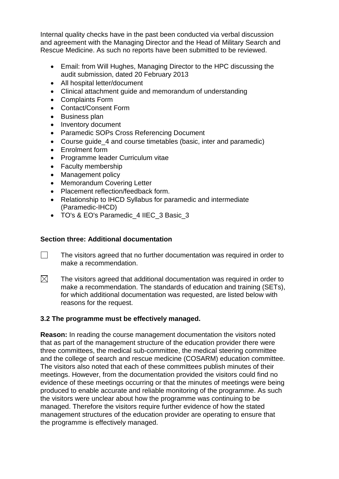Internal quality checks have in the past been conducted via verbal discussion and agreement with the Managing Director and the Head of Military Search and Rescue Medicine. As such no reports have been submitted to be reviewed.

- Email: from Will Hughes, Managing Director to the HPC discussing the audit submission, dated 20 February 2013
- All hospital letter/document
- Clinical attachment guide and memorandum of understanding
- Complaints Form
- Contact/Consent Form
- Business plan
- Inventory document
- Paramedic SOPs Cross Referencing Document
- Course guide 4 and course timetables (basic, inter and paramedic)
- Enrolment form
- Programme leader Curriculum vitae
- Faculty membership
- Management policy
- Memorandum Covering Letter
- Placement reflection/feedback form.
- Relationship to IHCD Syllabus for paramedic and intermediate (Paramedic-IHCD)
- TO's & EO's Paramedic 4 IIEC 3 Basic 3

#### **Section three: Additional documentation**

- $\Box$ The visitors agreed that no further documentation was required in order to make a recommendation.
- $\boxtimes$ The visitors agreed that additional documentation was required in order to make a recommendation. The standards of education and training (SETs), for which additional documentation was requested, are listed below with reasons for the request.

# **3.2 The programme must be effectively managed.**

**Reason:** In reading the course management documentation the visitors noted that as part of the management structure of the education provider there were three committees, the medical sub-committee, the medical steering committee and the college of search and rescue medicine (COSARM) education committee. The visitors also noted that each of these committees publish minutes of their meetings. However, from the documentation provided the visitors could find no evidence of these meetings occurring or that the minutes of meetings were being produced to enable accurate and reliable monitoring of the programme. As such the visitors were unclear about how the programme was continuing to be managed. Therefore the visitors require further evidence of how the stated management structures of the education provider are operating to ensure that the programme is effectively managed.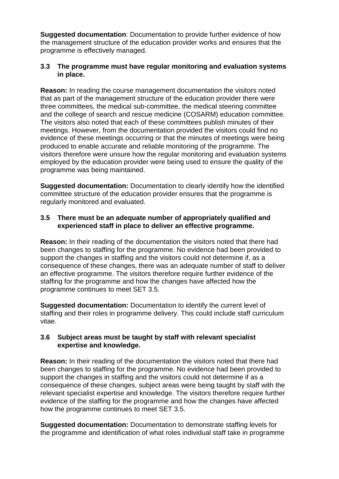**Suggested documentation**: Documentation to provide further evidence of how the management structure of the education provider works and ensures that the programme is effectively managed.

#### **3.3 The programme must have regular monitoring and evaluation systems in place.**

**Reason:** In reading the course management documentation the visitors noted that as part of the management structure of the education provider there were three committees, the medical sub-committee, the medical steering committee and the college of search and rescue medicine (COSARM) education committee. The visitors also noted that each of these committees publish minutes of their meetings. However, from the documentation provided the visitors could find no evidence of these meetings occurring or that the minutes of meetings were being produced to enable accurate and reliable monitoring of the programme. The visitors therefore were unsure how the regular monitoring and evaluation systems employed by the education provider were being used to ensure the quality of the programme was being maintained.

**Suggested documentation:** Documentation to clearly identify how the identified committee structure of the education provider ensures that the programme is regularly monitored and evaluated.

#### **3.5 There must be an adequate number of appropriately qualified and experienced staff in place to deliver an effective programme.**

**Reason:** In their reading of the documentation the visitors noted that there had been changes to staffing for the programme. No evidence had been provided to support the changes in staffing and the visitors could not determine if, as a consequence of these changes, there was an adequate number of staff to deliver an effective programme. The visitors therefore require further evidence of the staffing for the programme and how the changes have affected how the programme continues to meet SET 3.5.

**Suggested documentation:** Documentation to identify the current level of staffing and their roles in programme delivery. This could include staff curriculum vitae.

#### **3.6 Subject areas must be taught by staff with relevant specialist expertise and knowledge.**

**Reason:** In their reading of the documentation the visitors noted that there had been changes to staffing for the programme. No evidence had been provided to support the changes in staffing and the visitors could not determine if as a consequence of these changes, subject areas were being taught by staff with the relevant specialist expertise and knowledge. The visitors therefore require further evidence of the staffing for the programme and how the changes have affected how the programme continues to meet SET 3.5.

**Suggested documentation:** Documentation to demonstrate staffing levels for the programme and identification of what roles individual staff take in programme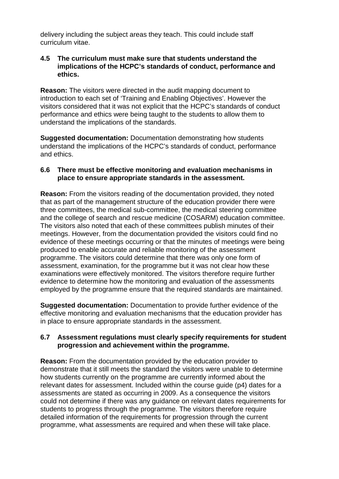delivery including the subject areas they teach. This could include staff curriculum vitae.

#### **4.5 The curriculum must make sure that students understand the implications of the HCPC's standards of conduct, performance and ethics.**

**Reason:** The visitors were directed in the audit mapping document to introduction to each set of 'Training and Enabling Objectives'. However the visitors considered that it was not explicit that the HCPC's standards of conduct performance and ethics were being taught to the students to allow them to understand the implications of the standards.

**Suggested documentation:** Documentation demonstrating how students understand the implications of the HCPC's standards of conduct, performance and ethics.

#### **6.6 There must be effective monitoring and evaluation mechanisms in place to ensure appropriate standards in the assessment.**

**Reason:** From the visitors reading of the documentation provided, they noted that as part of the management structure of the education provider there were three committees, the medical sub-committee, the medical steering committee and the college of search and rescue medicine (COSARM) education committee. The visitors also noted that each of these committees publish minutes of their meetings. However, from the documentation provided the visitors could find no evidence of these meetings occurring or that the minutes of meetings were being produced to enable accurate and reliable monitoring of the assessment programme. The visitors could determine that there was only one form of assessment, examination, for the programme but it was not clear how these examinations were effectively monitored. The visitors therefore require further evidence to determine how the monitoring and evaluation of the assessments employed by the programme ensure that the required standards are maintained.

**Suggested documentation:** Documentation to provide further evidence of the effective monitoring and evaluation mechanisms that the education provider has in place to ensure appropriate standards in the assessment.

#### **6.7 Assessment regulations must clearly specify requirements for student progression and achievement within the programme.**

**Reason:** From the documentation provided by the education provider to demonstrate that it still meets the standard the visitors were unable to determine how students currently on the programme are currently informed about the relevant dates for assessment. Included within the course guide (p4) dates for a assessments are stated as occurring in 2009. As a consequence the visitors could not determine if there was any guidance on relevant dates requirements for students to progress through the programme. The visitors therefore require detailed information of the requirements for progression through the current programme, what assessments are required and when these will take place.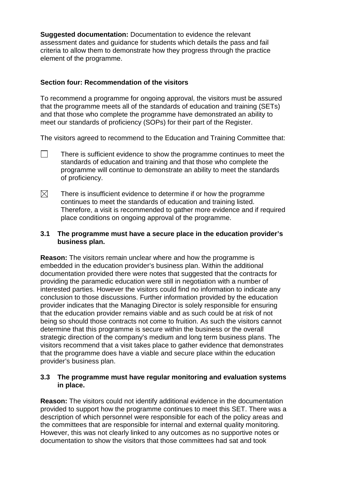**Suggested documentation:** Documentation to evidence the relevant assessment dates and guidance for students which details the pass and fail criteria to allow them to demonstrate how they progress through the practice element of the programme.

#### **Section four: Recommendation of the visitors**

To recommend a programme for ongoing approval, the visitors must be assured that the programme meets all of the standards of education and training (SETs) and that those who complete the programme have demonstrated an ability to meet our standards of proficiency (SOPs) for their part of the Register.

The visitors agreed to recommend to the Education and Training Committee that:

- $\Box$ There is sufficient evidence to show the programme continues to meet the standards of education and training and that those who complete the programme will continue to demonstrate an ability to meet the standards of proficiency.
- $\boxtimes$ There is insufficient evidence to determine if or how the programme continues to meet the standards of education and training listed. Therefore, a visit is recommended to gather more evidence and if required place conditions on ongoing approval of the programme.

#### **3.1 The programme must have a secure place in the education provider's business plan.**

**Reason:** The visitors remain unclear where and how the programme is embedded in the education provider's business plan. Within the additional documentation provided there were notes that suggested that the contracts for providing the paramedic education were still in negotiation with a number of interested parties. However the visitors could find no information to indicate any conclusion to those discussions. Further information provided by the education provider indicates that the Managing Director is solely responsible for ensuring that the education provider remains viable and as such could be at risk of not being so should those contracts not come to fruition. As such the visitors cannot determine that this programme is secure within the business or the overall strategic direction of the company's medium and long term business plans. The visitors recommend that a visit takes place to gather evidence that demonstrates that the programme does have a viable and secure place within the education provider's business plan.

#### **3.3 The programme must have regular monitoring and evaluation systems in place.**

**Reason:** The visitors could not identify additional evidence in the documentation provided to support how the programme continues to meet this SET. There was a description of which personnel were responsible for each of the policy areas and the committees that are responsible for internal and external quality monitoring. However, this was not clearly linked to any outcomes as no supportive notes or documentation to show the visitors that those committees had sat and took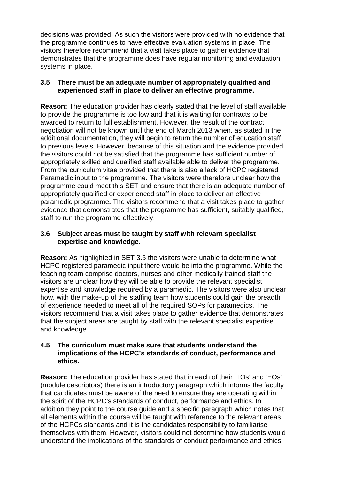decisions was provided. As such the visitors were provided with no evidence that the programme continues to have effective evaluation systems in place. The visitors therefore recommend that a visit takes place to gather evidence that demonstrates that the programme does have regular monitoring and evaluation systems in place.

#### **3.5 There must be an adequate number of appropriately qualified and experienced staff in place to deliver an effective programme.**

**Reason:** The education provider has clearly stated that the level of staff available to provide the programme is too low and that it is waiting for contracts to be awarded to return to full establishment. However, the result of the contract negotiation will not be known until the end of March 2013 when, as stated in the additional documentation, they will begin to return the number of education staff to previous levels. However, because of this situation and the evidence provided, the visitors could not be satisfied that the programme has sufficient number of appropriately skilled and qualified staff available able to deliver the programme. From the curriculum vitae provided that there is also a lack of HCPC registered Paramedic input to the programme. The visitors were therefore unclear how the programme could meet this SET and ensure that there is an adequate number of appropriately qualified or experienced staff in place to deliver an effective paramedic programme**.** The visitors recommend that a visit takes place to gather evidence that demonstrates that the programme has sufficient, suitably qualified, staff to run the programme effectively.

#### **3.6 Subject areas must be taught by staff with relevant specialist expertise and knowledge.**

**Reason:** As highlighted in SET 3.5 the visitors were unable to determine what HCPC registered paramedic input there would be into the programme. While the teaching team comprise doctors, nurses and other medically trained staff the visitors are unclear how they will be able to provide the relevant specialist expertise and knowledge required by a paramedic. The visitors were also unclear how, with the make-up of the staffing team how students could gain the breadth of experience needed to meet all of the required SOPs for paramedics. The visitors recommend that a visit takes place to gather evidence that demonstrates that the subject areas are taught by staff with the relevant specialist expertise and knowledge.

#### **4.5 The curriculum must make sure that students understand the implications of the HCPC's standards of conduct, performance and ethics.**

**Reason:** The education provider has stated that in each of their 'TOs' and 'EOs' (module descriptors) there is an introductory paragraph which informs the faculty that candidates must be aware of the need to ensure they are operating within the spirit of the HCPC's standards of conduct, performance and ethics. In addition they point to the course guide and a specific paragraph which notes that all elements within the course will be taught with reference to the relevant areas of the HCPCs standards and it is the candidates responsibility to familiarise themselves with them. However, visitors could not determine how students would understand the implications of the standards of conduct performance and ethics